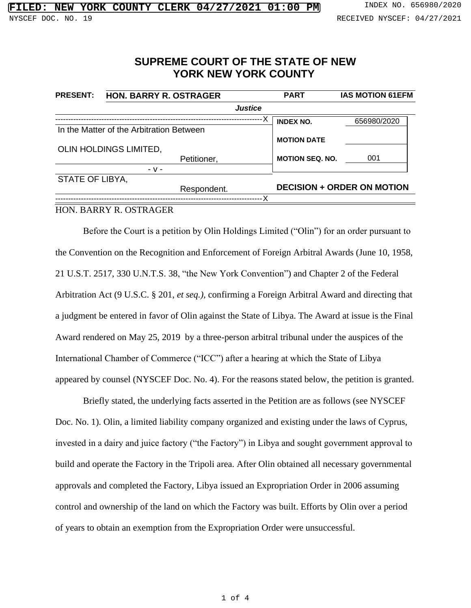## **SUPREME COURT OF THE STATE OF NEW YORK NEW YORK COUNTY**

| <b>PRESENT:</b>        | HON. BARRY R. OSTRAGER                   |             |                | <b>PART</b>                       | <b>IAS MOTION 61EFM</b> |
|------------------------|------------------------------------------|-------------|----------------|-----------------------------------|-------------------------|
|                        |                                          |             | <b>Justice</b> |                                   |                         |
|                        |                                          |             |                | <b>INDEX NO.</b>                  | 656980/2020             |
|                        | In the Matter of the Arbitration Between |             |                |                                   |                         |
|                        |                                          |             |                | <b>MOTION DATE</b>                |                         |
| OLIN HOLDINGS LIMITED, |                                          |             |                |                                   |                         |
|                        |                                          | Petitioner, |                | <b>MOTION SEQ. NO.</b>            | 001                     |
|                        | $-V -$                                   |             |                |                                   |                         |
| <b>STATE OF LIBYA,</b> |                                          |             |                |                                   |                         |
|                        |                                          | Respondent. |                | <b>DECISION + ORDER ON MOTION</b> |                         |
|                        |                                          |             | - X            |                                   |                         |

## HON. BARRY R. OSTRAGER

Before the Court is a petition by Olin Holdings Limited ("Olin") for an order pursuant to the Convention on the Recognition and Enforcement of Foreign Arbitral Awards (June 10, 1958, 21 U.S.T. 2517, 330 U.N.T.S. 38, "the New York Convention") and Chapter 2 of the Federal Arbitration Act (9 U.S.C. § 201, *et seq.),* confirming a Foreign Arbitral Award and directing that a judgment be entered in favor of Olin against the State of Libya. The Award at issue is the Final Award rendered on May 25, 2019 by a three-person arbitral tribunal under the auspices of the International Chamber of Commerce ("ICC") after a hearing at which the State of Libya appeared by counsel (NYSCEF Doc. No. 4). For the reasons stated below, the petition is granted.

Briefly stated, the underlying facts asserted in the Petition are as follows (see NYSCEF Doc. No. 1). Olin, a limited liability company organized and existing under the laws of Cyprus, invested in a dairy and juice factory ("the Factory") in Libya and sought government approval to build and operate the Factory in the Tripoli area. After Olin obtained all necessary governmental approvals and completed the Factory, Libya issued an Expropriation Order in 2006 assuming control and ownership of the land on which the Factory was built. Efforts by Olin over a period of years to obtain an exemption from the Expropriation Order were unsuccessful.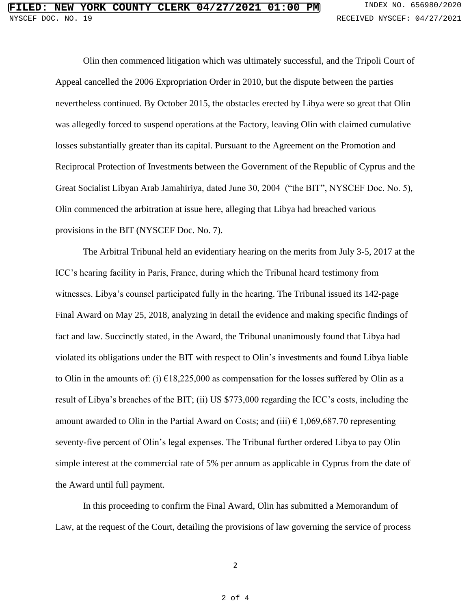Olin then commenced litigation which was ultimately successful, and the Tripoli Court of Appeal cancelled the 2006 Expropriation Order in 2010, but the dispute between the parties nevertheless continued. By October 2015, the obstacles erected by Libya were so great that Olin was allegedly forced to suspend operations at the Factory, leaving Olin with claimed cumulative losses substantially greater than its capital. Pursuant to the Agreement on the Promotion and Reciprocal Protection of Investments between the Government of the Republic of Cyprus and the Great Socialist Libyan Arab Jamahiriya, dated June 30, 2004 ("the BIT", NYSCEF Doc. No. 5), Olin commenced the arbitration at issue here, alleging that Libya had breached various provisions in the BIT (NYSCEF Doc. No. 7).

The Arbitral Tribunal held an evidentiary hearing on the merits from July 3-5, 2017 at the ICC's hearing facility in Paris, France, during which the Tribunal heard testimony from witnesses. Libya's counsel participated fully in the hearing. The Tribunal issued its 142-page Final Award on May 25, 2018, analyzing in detail the evidence and making specific findings of fact and law. Succinctly stated, in the Award, the Tribunal unanimously found that Libya had violated its obligations under the BIT with respect to Olin's investments and found Libya liable to Olin in the amounts of: (i)  $\epsilon$ 18,225,000 as compensation for the losses suffered by Olin as a result of Libya's breaches of the BIT; (ii) US \$773,000 regarding the ICC's costs, including the amount awarded to Olin in the Partial Award on Costs; and (iii)  $\epsilon$  1,069,687.70 representing seventy-five percent of Olin's legal expenses. The Tribunal further ordered Libya to pay Olin simple interest at the commercial rate of 5% per annum as applicable in Cyprus from the date of the Award until full payment.

In this proceeding to confirm the Final Award, Olin has submitted a Memorandum of Law, at the request of the Court, detailing the provisions of law governing the service of process

2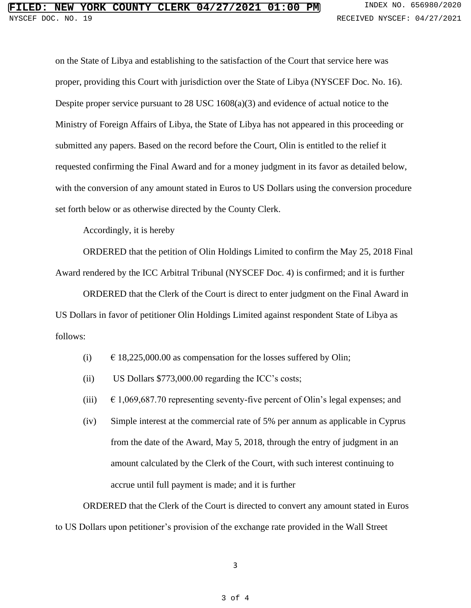## **FIORK COUNTY CLERK 04/27/2021 01:00 PM** INDEX NO. 656980/2020 NYSCEF DOC. NO. 19 **RECEIVED NYSCEF: 04/27/2021**

on the State of Libya and establishing to the satisfaction of the Court that service here was proper, providing this Court with jurisdiction over the State of Libya (NYSCEF Doc. No. 16). Despite proper service pursuant to 28 USC 1608(a)(3) and evidence of actual notice to the Ministry of Foreign Affairs of Libya, the State of Libya has not appeared in this proceeding or submitted any papers. Based on the record before the Court, Olin is entitled to the relief it requested confirming the Final Award and for a money judgment in its favor as detailed below, with the conversion of any amount stated in Euros to US Dollars using the conversion procedure set forth below or as otherwise directed by the County Clerk.

Accordingly, it is hereby

ORDERED that the petition of Olin Holdings Limited to confirm the May 25, 2018 Final Award rendered by the ICC Arbitral Tribunal (NYSCEF Doc. 4) is confirmed; and it is further

ORDERED that the Clerk of the Court is direct to enter judgment on the Final Award in US Dollars in favor of petitioner Olin Holdings Limited against respondent State of Libya as follows:

- (i)  $\qquad \in 18,225,000.00$  as compensation for the losses suffered by Olin;
- (ii) US Dollars \$773,000.00 regarding the ICC's costs;
- (iii)  $\epsilon$  1,069,687.70 representing seventy-five percent of Olin's legal expenses; and
- (iv) Simple interest at the commercial rate of 5% per annum as applicable in Cyprus from the date of the Award, May 5, 2018, through the entry of judgment in an amount calculated by the Clerk of the Court, with such interest continuing to accrue until full payment is made; and it is further

ORDERED that the Clerk of the Court is directed to convert any amount stated in Euros to US Dollars upon petitioner's provision of the exchange rate provided in the Wall Street

3